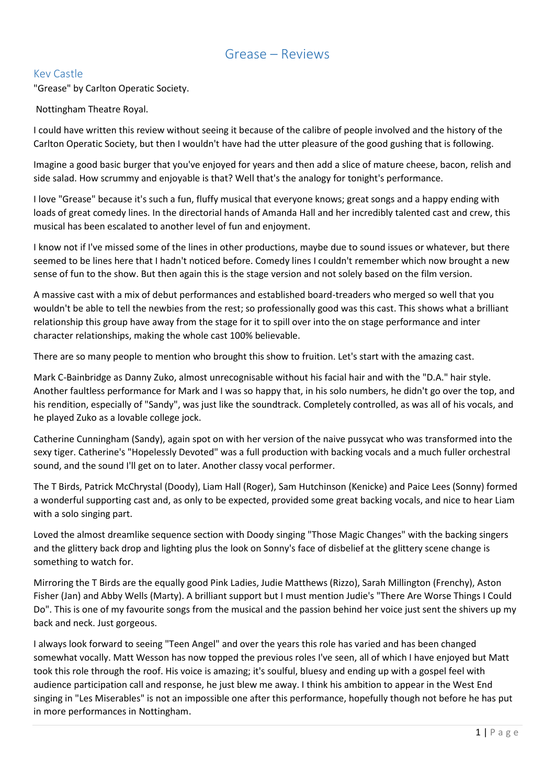# Grease – Reviews

## Kev Castle

"Grease" by Carlton Operatic Society.

#### Nottingham Theatre Royal.

I could have written this review without seeing it because of the calibre of people involved and the history of the Carlton Operatic Society, but then I wouldn't have had the utter pleasure of the good gushing that is following.

Imagine a good basic burger that you've enjoyed for years and then add a slice of mature cheese, bacon, relish and side salad. How scrummy and enjoyable is that? Well that's the analogy for tonight's performance.

I love "Grease" because it's such a fun, fluffy musical that everyone knows; great songs and a happy ending with loads of great comedy lines. In the directorial hands of Amanda Hall and her incredibly talented cast and crew, this musical has been escalated to another level of fun and enjoyment.

I know not if I've missed some of the lines in other productions, maybe due to sound issues or whatever, but there seemed to be lines here that I hadn't noticed before. Comedy lines I couldn't remember which now brought a new sense of fun to the show. But then again this is the stage version and not solely based on the film version.

A massive cast with a mix of debut performances and established board-treaders who merged so well that you wouldn't be able to tell the newbies from the rest; so professionally good was this cast. This shows what a brilliant relationship this group have away from the stage for it to spill over into the on stage performance and inter character relationships, making the whole cast 100% believable.

There are so many people to mention who brought this show to fruition. Let's start with the amazing cast.

Mark C-Bainbridge as Danny Zuko, almost unrecognisable without his facial hair and with the "D.A." hair style. Another faultless performance for Mark and I was so happy that, in his solo numbers, he didn't go over the top, and his rendition, especially of "Sandy", was just like the soundtrack. Completely controlled, as was all of his vocals, and he played Zuko as a lovable college jock.

Catherine Cunningham (Sandy), again spot on with her version of the naive pussycat who was transformed into the sexy tiger. Catherine's "Hopelessly Devoted" was a full production with backing vocals and a much fuller orchestral sound, and the sound I'll get on to later. Another classy vocal performer.

The T Birds, Patrick McChrystal (Doody), Liam Hall (Roger), Sam Hutchinson (Kenicke) and Paice Lees (Sonny) formed a wonderful supporting cast and, as only to be expected, provided some great backing vocals, and nice to hear Liam with a solo singing part.

Loved the almost dreamlike sequence section with Doody singing "Those Magic Changes" with the backing singers and the glittery back drop and lighting plus the look on Sonny's face of disbelief at the glittery scene change is something to watch for.

Mirroring the T Birds are the equally good Pink Ladies, Judie Matthews (Rizzo), Sarah Millington (Frenchy), Aston Fisher (Jan) and Abby Wells (Marty). A brilliant support but I must mention Judie's "There Are Worse Things I Could Do". This is one of my favourite songs from the musical and the passion behind her voice just sent the shivers up my back and neck. Just gorgeous.

I always look forward to seeing "Teen Angel" and over the years this role has varied and has been changed somewhat vocally. Matt Wesson has now topped the previous roles I've seen, all of which I have enjoyed but Matt took this role through the roof. His voice is amazing; it's soulful, bluesy and ending up with a gospel feel with audience participation call and response, he just blew me away. I think his ambition to appear in the West End singing in "Les Miserables" is not an impossible one after this performance, hopefully though not before he has put in more performances in Nottingham.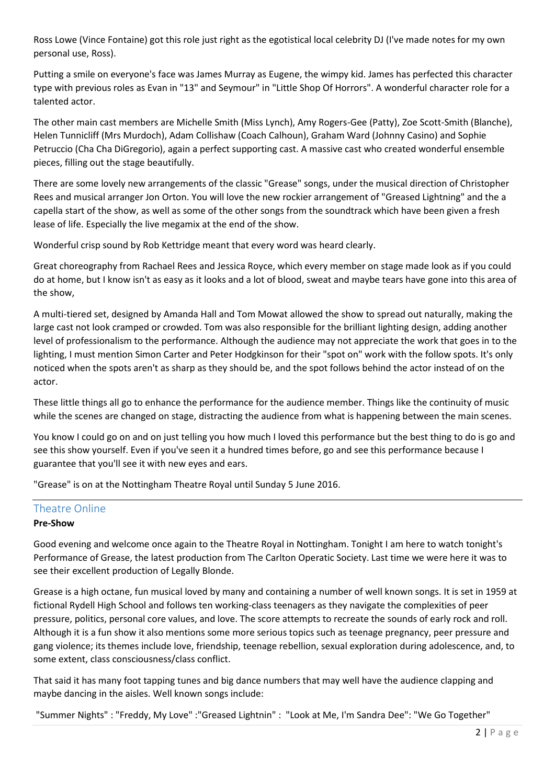Ross Lowe (Vince Fontaine) got this role just right as the egotistical local celebrity DJ (I've made notes for my own personal use, Ross).

Putting a smile on everyone's face was James Murray as Eugene, the wimpy kid. James has perfected this character type with previous roles as Evan in "13" and Seymour" in "Little Shop Of Horrors". A wonderful character role for a talented actor.

The other main cast members are Michelle Smith (Miss Lynch), Amy Rogers-Gee (Patty), Zoe Scott-Smith (Blanche), Helen Tunnicliff (Mrs Murdoch), Adam Collishaw (Coach Calhoun), Graham Ward (Johnny Casino) and Sophie Petruccio (Cha Cha DiGregorio), again a perfect supporting cast. A massive cast who created wonderful ensemble pieces, filling out the stage beautifully.

There are some lovely new arrangements of the classic "Grease" songs, under the musical direction of Christopher Rees and musical arranger Jon Orton. You will love the new rockier arrangement of "Greased Lightning" and the a capella start of the show, as well as some of the other songs from the soundtrack which have been given a fresh lease of life. Especially the live megamix at the end of the show.

Wonderful crisp sound by Rob Kettridge meant that every word was heard clearly.

Great choreography from Rachael Rees and Jessica Royce, which every member on stage made look as if you could do at home, but I know isn't as easy as it looks and a lot of blood, sweat and maybe tears have gone into this area of the show,

A multi-tiered set, designed by Amanda Hall and Tom Mowat allowed the show to spread out naturally, making the large cast not look cramped or crowded. Tom was also responsible for the brilliant lighting design, adding another level of professionalism to the performance. Although the audience may not appreciate the work that goes in to the lighting, I must mention Simon Carter and Peter Hodgkinson for their "spot on" work with the follow spots. It's only noticed when the spots aren't as sharp as they should be, and the spot follows behind the actor instead of on the actor.

These little things all go to enhance the performance for the audience member. Things like the continuity of music while the scenes are changed on stage, distracting the audience from what is happening between the main scenes.

You know I could go on and on just telling you how much I loved this performance but the best thing to do is go and see this show yourself. Even if you've seen it a hundred times before, go and see this performance because I guarantee that you'll see it with new eyes and ears.

"Grease" is on at the Nottingham Theatre Royal until Sunday 5 June 2016.

# Theatre Online

### **Pre-Show**

Good evening and welcome once again to the Theatre Royal in Nottingham. Tonight I am here to watch tonight's Performance of Grease, the latest production from The Carlton Operatic Society. Last time we were here it was to see their excellent production of Legally Blonde.

Grease is a high octane, fun musical loved by many and containing a number of well known songs. It is set in 1959 at fictional Rydell High School and follows ten working-class teenagers as they navigate the complexities of peer pressure, politics, personal core values, and love. The score attempts to recreate the sounds of early rock and roll. Although it is a fun show it also mentions some more serious topics such as teenage pregnancy, peer pressure and gang violence; its themes include love, friendship, teenage rebellion, sexual exploration during adolescence, and, to some extent, class consciousness/class conflict.

That said it has many foot tapping tunes and big dance numbers that may well have the audience clapping and maybe dancing in the aisles. Well known songs include:

"Summer Nights" : "Freddy, My Love" :"Greased Lightnin" : "Look at Me, I'm Sandra Dee": "We Go Together"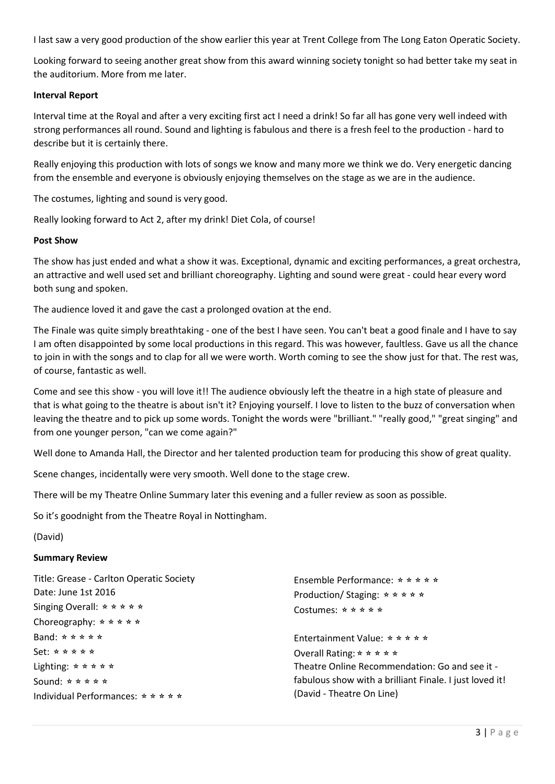I last saw a very good production of the show earlier this year at Trent College from The Long Eaton Operatic Society.

Looking forward to seeing another great show from this award winning society tonight so had better take my seat in the auditorium. More from me later.

#### **Interval Report**

Interval time at the Royal and after a very exciting first act I need a drink! So far all has gone very well indeed with strong performances all round. Sound and lighting is fabulous and there is a fresh feel to the production - hard to describe but it is certainly there.

Really enjoying this production with lots of songs we know and many more we think we do. Very energetic dancing from the ensemble and everyone is obviously enjoying themselves on the stage as we are in the audience.

The costumes, lighting and sound is very good.

Really looking forward to Act 2, after my drink! Diet Cola, of course!

#### **Post Show**

The show has just ended and what a show it was. Exceptional, dynamic and exciting performances, a great orchestra, an attractive and well used set and brilliant choreography. Lighting and sound were great - could hear every word both sung and spoken.

The audience loved it and gave the cast a prolonged ovation at the end.

The Finale was quite simply breathtaking - one of the best I have seen. You can't beat a good finale and I have to say I am often disappointed by some local productions in this regard. This was however, faultless. Gave us all the chance to join in with the songs and to clap for all we were worth. Worth coming to see the show just for that. The rest was, of course, fantastic as well.

Come and see this show - you will love it!! The audience obviously left the theatre in a high state of pleasure and that is what going to the theatre is about isn't it? Enjoying yourself. I love to listen to the buzz of conversation when leaving the theatre and to pick up some words. Tonight the words were "brilliant." "really good," "great singing" and from one younger person, "can we come again?"

Well done to Amanda Hall, the Director and her talented production team for producing this show of great quality.

Scene changes, incidentally were very smooth. Well done to the stage crew.

There will be my Theatre Online Summary later this evening and a fuller review as soon as possible.

So it's goodnight from the Theatre Royal in Nottingham.

#### (David)

#### **Summary Review**

| Title: Grease - Carlton Operatic Society<br>Date: June 1st 2016<br>Singing Overall: $\star \star \star \star \star$<br>Choreography: $\star \star \star \star \star$ | Ensemble Performance: $\star \star \star \star \star$<br>Production/Staging: $\star \star \star \star \star$<br>Costumes: $\star \star \star \star \star$ |
|----------------------------------------------------------------------------------------------------------------------------------------------------------------------|-----------------------------------------------------------------------------------------------------------------------------------------------------------|
| Band: $\star \star \star \star \star$                                                                                                                                | Entertainment Value: $\star \star \star \star \star$                                                                                                      |
| $Set: x * x * x * x$                                                                                                                                                 | Overall Rating: $\star \star \star \star \star$                                                                                                           |
| Lighting: $\star \star \star \star \star$                                                                                                                            | Theatre Online Recommendation: Go and see it -                                                                                                            |
| Sound: $\star \star \star \star \star$                                                                                                                               | fabulous show with a brilliant Finale. I just loved it!                                                                                                   |
| Individual Performances: $\star \star \star \star \star$                                                                                                             | (David - Theatre On Line)                                                                                                                                 |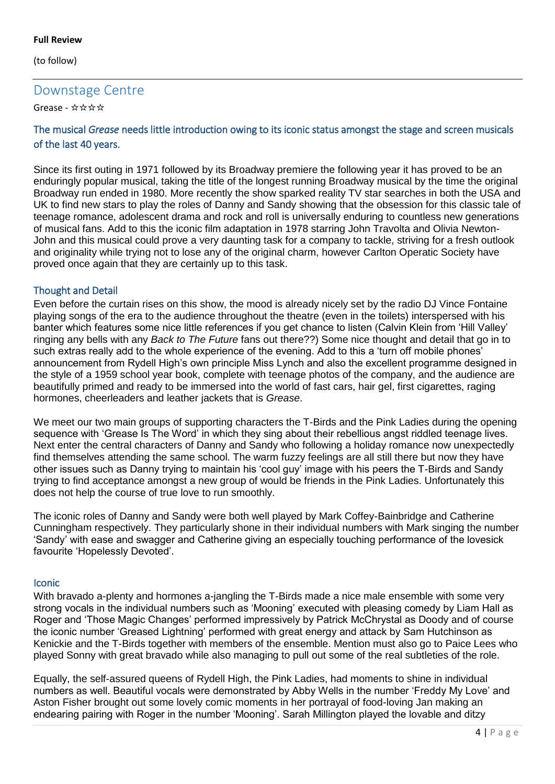#### **Full Review**

(to follow)

# Downstage Centre

Grease - ☆☆☆☆<sup>4</sup>

## The musical *Grease* needs little introduction owing to its iconic status amongst the stage and screen musicals of the last 40 years.

Since its first outing in 1971 followed by its Broadway premiere the following year it has proved to be an enduringly popular musical, taking the title of the longest running Broadway musical by the time the original Broadway run ended in 1980. More recently the show sparked reality TV star searches in both the USA and UK to find new stars to play the roles of Danny and Sandy showing that the obsession for this classic tale of teenage romance, adolescent drama and rock and roll is universally enduring to countless new generations of musical fans. Add to this the iconic film adaptation in 1978 starring John Travolta and Olivia Newton-John and this musical could prove a very daunting task for a company to tackle, striving for a fresh outlook and originality while trying not to lose any of the original charm, however Carlton Operatic Society have proved once again that they are certainly up to this task.

## Thought and Detail

Even before the curtain rises on this show, the mood is already nicely set by the radio DJ Vince Fontaine playing songs of the era to the audience throughout the theatre (even in the toilets) interspersed with his banter which features some nice little references if you get chance to listen (Calvin Klein from 'Hill Valley' ringing any bells with any *Back to The Future* fans out there??) Some nice thought and detail that go in to such extras really add to the whole experience of the evening. Add to this a 'turn off mobile phones' announcement from Rydell High's own principle Miss Lynch and also the excellent programme designed in the style of a 1959 school year book, complete with teenage photos of the company, and the audience are beautifully primed and ready to be immersed into the world of fast cars, hair gel, first cigarettes, raging hormones, cheerleaders and leather jackets that is *Grease*.

We meet our two main groups of supporting characters the T-Birds and the Pink Ladies during the opening sequence with 'Grease Is The Word' in which they sing about their rebellious angst riddled teenage lives. Next enter the central characters of Danny and Sandy who following a holiday romance now unexpectedly find themselves attending the same school. The warm fuzzy feelings are all still there but now they have other issues such as Danny trying to maintain his 'cool guy' image with his peers the T-Birds and Sandy trying to find acceptance amongst a new group of would be friends in the Pink Ladies. Unfortunately this does not help the course of true love to run smoothly.

The iconic roles of Danny and Sandy were both well played by Mark Coffey-Bainbridge and Catherine Cunningham respectively. They particularly shone in their individual numbers with Mark singing the number 'Sandy' with ease and swagger and Catherine giving an especially touching performance of the lovesick favourite 'Hopelessly Devoted'.

### Iconic

With bravado a-plenty and hormones a-jangling the T-Birds made a nice male ensemble with some very strong vocals in the individual numbers such as 'Mooning' executed with pleasing comedy by Liam Hall as Roger and 'Those Magic Changes' performed impressively by Patrick McChrystal as Doody and of course the iconic number 'Greased Lightning' performed with great energy and attack by Sam Hutchinson as Kenickie and the T-Birds together with members of the ensemble. Mention must also go to Paice Lees who played Sonny with great bravado while also managing to pull out some of the real subtleties of the role.

Equally, the self-assured queens of Rydell High, the Pink Ladies, had moments to shine in individual numbers as well. Beautiful vocals were demonstrated by Abby Wells in the number 'Freddy My Love' and Aston Fisher brought out some lovely comic moments in her portrayal of food-loving Jan making an endearing pairing with Roger in the number 'Mooning'. Sarah Millington played the lovable and ditzy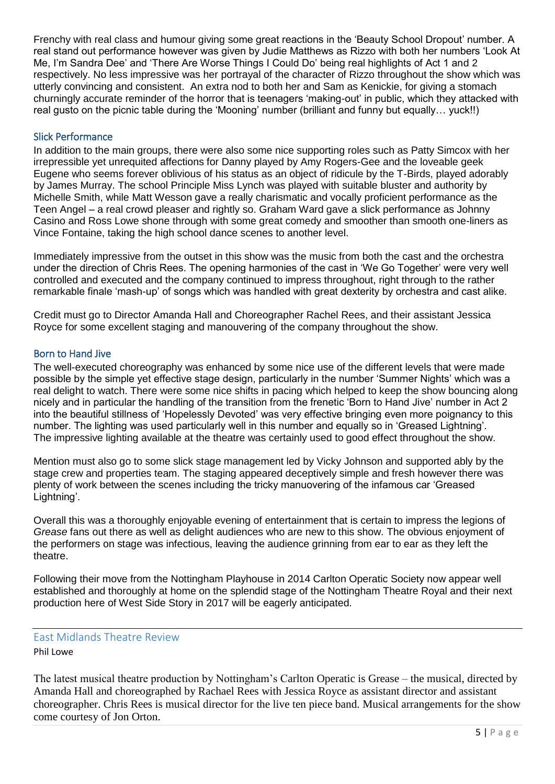Frenchy with real class and humour giving some great reactions in the 'Beauty School Dropout' number. A real stand out performance however was given by Judie Matthews as Rizzo with both her numbers 'Look At Me, I'm Sandra Dee' and 'There Are Worse Things I Could Do' being real highlights of Act 1 and 2 respectively. No less impressive was her portrayal of the character of Rizzo throughout the show which was utterly convincing and consistent. An extra nod to both her and Sam as Kenickie, for giving a stomach churningly accurate reminder of the horror that is teenagers 'making-out' in public, which they attacked with real gusto on the picnic table during the 'Mooning' number (brilliant and funny but equally… yuck!!)

### Slick Performance

In addition to the main groups, there were also some nice supporting roles such as Patty Simcox with her irrepressible yet unrequited affections for Danny played by Amy Rogers-Gee and the loveable geek Eugene who seems forever oblivious of his status as an object of ridicule by the T-Birds, played adorably by James Murray. The school Principle Miss Lynch was played with suitable bluster and authority by Michelle Smith, while Matt Wesson gave a really charismatic and vocally proficient performance as the Teen Angel – a real crowd pleaser and rightly so. Graham Ward gave a slick performance as Johnny Casino and Ross Lowe shone through with some great comedy and smoother than smooth one-liners as Vince Fontaine, taking the high school dance scenes to another level.

Immediately impressive from the outset in this show was the music from both the cast and the orchestra under the direction of Chris Rees. The opening harmonies of the cast in 'We Go Together' were very well controlled and executed and the company continued to impress throughout, right through to the rather remarkable finale 'mash-up' of songs which was handled with great dexterity by orchestra and cast alike.

Credit must go to Director Amanda Hall and Choreographer Rachel Rees, and their assistant Jessica Royce for some excellent staging and manouvering of the company throughout the show.

### Born to Hand Jive

The well-executed choreography was enhanced by some nice use of the different levels that were made possible by the simple yet effective stage design, particularly in the number 'Summer Nights' which was a real delight to watch. There were some nice shifts in pacing which helped to keep the show bouncing along nicely and in particular the handling of the transition from the frenetic 'Born to Hand Jive' number in Act 2 into the beautiful stillness of 'Hopelessly Devoted' was very effective bringing even more poignancy to this number. The lighting was used particularly well in this number and equally so in 'Greased Lightning'. The impressive lighting available at the theatre was certainly used to good effect throughout the show.

Mention must also go to some slick stage management led by Vicky Johnson and supported ably by the stage crew and properties team. The staging appeared deceptively simple and fresh however there was plenty of work between the scenes including the tricky manuovering of the infamous car 'Greased Lightning'.

Overall this was a thoroughly enjoyable evening of entertainment that is certain to impress the legions of *Grease* fans out there as well as delight audiences who are new to this show. The obvious enjoyment of the performers on stage was infectious, leaving the audience grinning from ear to ear as they left the theatre.

Following their move from the Nottingham Playhouse in 2014 Carlton Operatic Society now appear well established and thoroughly at home on the splendid stage of the Nottingham Theatre Royal and their next production here of West Side Story in 2017 will be eagerly anticipated.

## East Midlands Theatre Review Phil Lowe

The latest musical theatre production by Nottingham's Carlton Operatic is Grease – the musical, directed by Amanda Hall and choreographed by Rachael Rees with Jessica Royce as assistant director and assistant choreographer. Chris Rees is musical director for the live ten piece band. Musical arrangements for the show come courtesy of Jon Orton.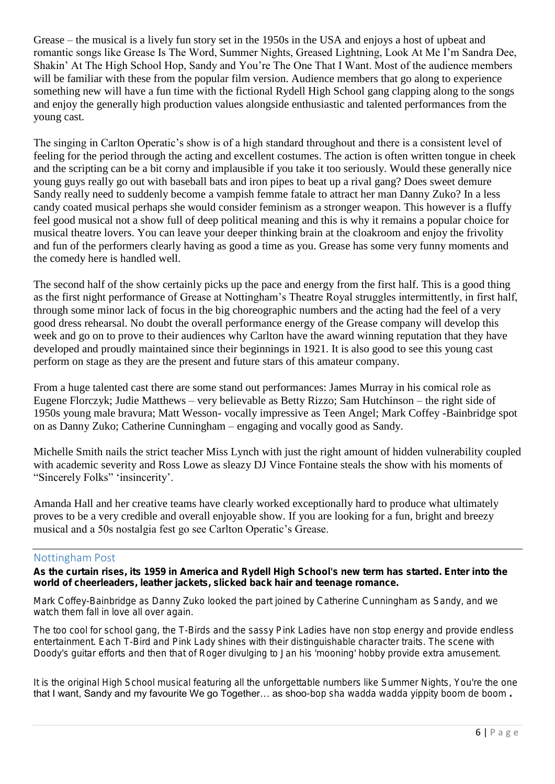Grease – the musical is a lively fun story set in the 1950s in the USA and enjoys a host of upbeat and romantic songs like Grease Is The Word, Summer Nights, Greased Lightning, Look At Me I'm Sandra Dee, Shakin' At The High School Hop, Sandy and You're The One That I Want. Most of the audience members will be familiar with these from the popular film version. Audience members that go along to experience something new will have a fun time with the fictional Rydell High School gang clapping along to the songs and enjoy the generally high production values alongside enthusiastic and talented performances from the young cast.

The singing in Carlton Operatic's show is of a high standard throughout and there is a consistent level of feeling for the period through the acting and excellent costumes. The action is often written tongue in cheek and the scripting can be a bit corny and implausible if you take it too seriously. Would these generally nice young guys really go out with baseball bats and iron pipes to beat up a rival gang? Does sweet demure Sandy really need to suddenly become a vampish femme fatale to attract her man Danny Zuko? In a less candy coated musical perhaps she would consider feminism as a stronger weapon. This however is a fluffy feel good musical not a show full of deep political meaning and this is why it remains a popular choice for musical theatre lovers. You can leave your deeper thinking brain at the cloakroom and enjoy the frivolity and fun of the performers clearly having as good a time as you. Grease has some very funny moments and the comedy here is handled well.

The second half of the show certainly picks up the pace and energy from the first half. This is a good thing as the first night performance of Grease at Nottingham's Theatre Royal struggles intermittently, in first half, through some minor lack of focus in the big choreographic numbers and the acting had the feel of a very good dress rehearsal. No doubt the overall performance energy of the Grease company will develop this week and go on to prove to their audiences why Carlton have the award winning reputation that they have developed and proudly maintained since their beginnings in 1921. It is also good to see this young cast perform on stage as they are the present and future stars of this amateur company.

From a huge talented cast there are some stand out performances: James Murray in his comical role as Eugene Florczyk; Judie Matthews – very believable as Betty Rizzo; Sam Hutchinson – the right side of 1950s young male bravura; Matt Wesson- vocally impressive as Teen Angel; Mark Coffey -Bainbridge spot on as Danny Zuko; Catherine Cunningham – engaging and vocally good as Sandy.

Michelle Smith nails the strict teacher Miss Lynch with just the right amount of hidden vulnerability coupled with academic severity and Ross Lowe as sleazy DJ Vince Fontaine steals the show with his moments of "Sincerely Folks" 'insincerity'.

Amanda Hall and her creative teams have clearly worked exceptionally hard to produce what ultimately proves to be a very credible and overall enjoyable show. If you are looking for a fun, bright and breezy musical and a 50s nostalgia fest go see Carlton Operatic's Grease.

## Nottingham Post

As the curtain rises, its 1959 in America and Rydell High School's new term has started. Enter into the world of cheerleaders, leather jackets, slicked back hair and teenage romance.

Mark Coffey-Bainbridge as Danny Zuko looked the part joined by Catherine Cunningham as Sandy, and we watch them fall in love all over again.

The too cool for school gang, the T-Birds and the sassy Pink Ladies have non stop energy and provide endless entertainment. Each T-Bird and Pink Lady shines with their distinguishable character traits. The scene with Doody's guitar efforts and then that of Roger divulging to Jan his 'mooning' hobby provide extra amusement.

It is the original High School musical featuring all the unforgettable numbers like Summer Nights, You're the one that I want, Sandy and my favourite We go Together... as shoo-bop sha wadda wadda yippity boom de boom.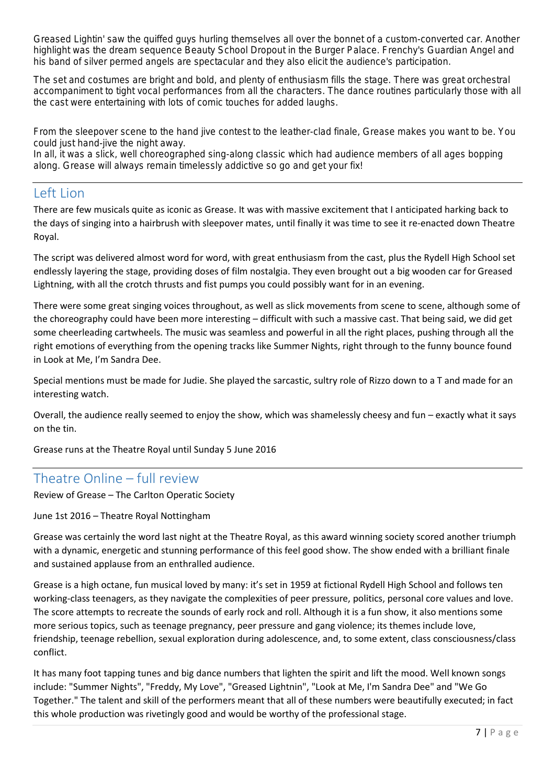Greased Lightin' saw the quiffed guys hurling themselves all over the bonnet of a custom-converted car. Another highlight was the dream sequence Beauty School Dropout in the Burger Palace. Frenchy's Guardian Angel and his band of silver permed angels are spectacular and they also elicit the audience's participation.

The set and costumes are bright and bold, and plenty of enthusiasm fills the stage. There was great orchestral accompaniment to tight vocal performances from all the characters. The dance routines particularly those with all the cast were entertaining with lots of comic touches for added laughs.

From the sleepover scene to the hand jive contest to the leather-clad finale, Grease makes you want to be. You could just hand-jive the night away.

In all, it was a slick, well choreographed sing-along classic which had audience members of all ages bopping along. Grease will always remain timelessly addictive so go and get your fix!

# Left Lion

There are few musicals quite as iconic as Grease. It was with massive excitement that I anticipated harking back to the days of singing into a hairbrush with sleepover mates, until finally it was time to see it re-enacted down Theatre Royal.

The script was delivered almost word for word, with great enthusiasm from the cast, plus the Rydell High School set endlessly layering the stage, providing doses of film nostalgia. They even brought out a big wooden car for Greased Lightning, with all the crotch thrusts and fist pumps you could possibly want for in an evening.

There were some great singing voices throughout, as well as slick movements from scene to scene, although some of the choreography could have been more interesting – difficult with such a massive cast. That being said, we did get some cheerleading cartwheels. The music was seamless and powerful in all the right places, pushing through all the right emotions of everything from the opening tracks like Summer Nights, right through to the funny bounce found in Look at Me, I'm Sandra Dee.

Special mentions must be made for Judie. She played the sarcastic, sultry role of Rizzo down to a T and made for an interesting watch.

Overall, the audience really seemed to enjoy the show, which was shamelessly cheesy and fun – exactly what it says on the tin.

Grease runs at the Theatre Royal until Sunday 5 June 2016

# Theatre Online – full review

Review of Grease – The Carlton Operatic Society

June 1st 2016 – Theatre Royal Nottingham

Grease was certainly the word last night at the Theatre Royal, as this award winning society scored another triumph with a dynamic, energetic and stunning performance of this feel good show. The show ended with a brilliant finale and sustained applause from an enthralled audience.

Grease is a high octane, fun musical loved by many: it's set in 1959 at fictional Rydell High School and follows ten working-class teenagers, as they navigate the complexities of peer pressure, politics, personal core values and love. The score attempts to recreate the sounds of early rock and roll. Although it is a fun show, it also mentions some more serious topics, such as teenage pregnancy, peer pressure and gang violence; its themes include love, friendship, teenage rebellion, sexual exploration during adolescence, and, to some extent, class consciousness/class conflict.

It has many foot tapping tunes and big dance numbers that lighten the spirit and lift the mood. Well known songs include: "Summer Nights", "Freddy, My Love", "Greased Lightnin", "Look at Me, I'm Sandra Dee" and "We Go Together." The talent and skill of the performers meant that all of these numbers were beautifully executed; in fact this whole production was rivetingly good and would be worthy of the professional stage.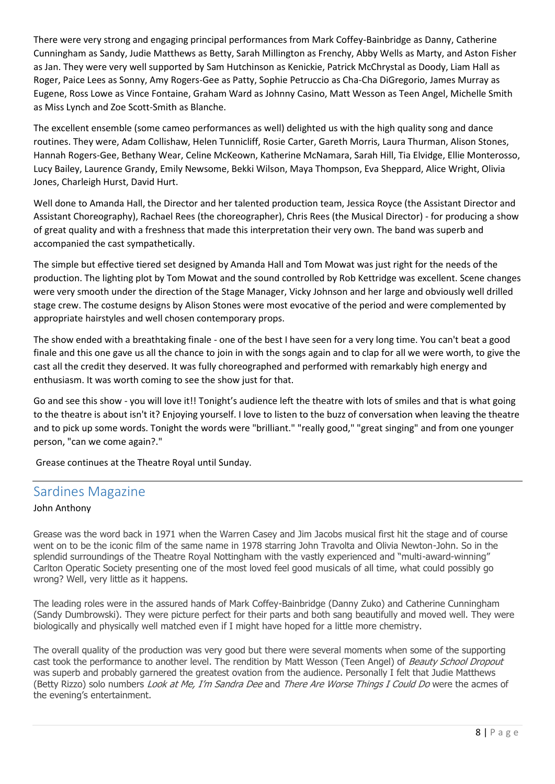There were very strong and engaging principal performances from Mark Coffey-Bainbridge as Danny, Catherine Cunningham as Sandy, Judie Matthews as Betty, Sarah Millington as Frenchy, Abby Wells as Marty, and Aston Fisher as Jan. They were very well supported by Sam Hutchinson as Kenickie, Patrick McChrystal as Doody, Liam Hall as Roger, Paice Lees as Sonny, Amy Rogers-Gee as Patty, Sophie Petruccio as Cha-Cha DiGregorio, James Murray as Eugene, Ross Lowe as Vince Fontaine, Graham Ward as Johnny Casino, Matt Wesson as Teen Angel, Michelle Smith as Miss Lynch and Zoe Scott-Smith as Blanche.

The excellent ensemble (some cameo performances as well) delighted us with the high quality song and dance routines. They were, Adam Collishaw, Helen Tunnicliff, Rosie Carter, Gareth Morris, Laura Thurman, Alison Stones, Hannah Rogers-Gee, Bethany Wear, Celine McKeown, Katherine McNamara, Sarah Hill, Tia Elvidge, Ellie Monterosso, Lucy Bailey, Laurence Grandy, Emily Newsome, Bekki Wilson, Maya Thompson, Eva Sheppard, Alice Wright, Olivia Jones, Charleigh Hurst, David Hurt.

Well done to Amanda Hall, the Director and her talented production team, Jessica Royce (the Assistant Director and Assistant Choreography), Rachael Rees (the choreographer), Chris Rees (the Musical Director) - for producing a show of great quality and with a freshness that made this interpretation their very own. The band was superb and accompanied the cast sympathetically.

The simple but effective tiered set designed by Amanda Hall and Tom Mowat was just right for the needs of the production. The lighting plot by Tom Mowat and the sound controlled by Rob Kettridge was excellent. Scene changes were very smooth under the direction of the Stage Manager, Vicky Johnson and her large and obviously well drilled stage crew. The costume designs by Alison Stones were most evocative of the period and were complemented by appropriate hairstyles and well chosen contemporary props.

The show ended with a breathtaking finale - one of the best I have seen for a very long time. You can't beat a good finale and this one gave us all the chance to join in with the songs again and to clap for all we were worth, to give the cast all the credit they deserved. It was fully choreographed and performed with remarkably high energy and enthusiasm. It was worth coming to see the show just for that.

Go and see this show - you will love it!! Tonight's audience left the theatre with lots of smiles and that is what going to the theatre is about isn't it? Enjoying yourself. I love to listen to the buzz of conversation when leaving the theatre and to pick up some words. Tonight the words were "brilliant." "really good," "great singing" and from one younger person, "can we come again?."

Grease continues at the Theatre Royal until Sunday.

# Sardines Magazine

### John Anthony

Grease was the word back in 1971 when the Warren Casey and Jim Jacobs musical first hit the stage and of course went on to be the iconic film of the same name in 1978 starring John Travolta and Olivia Newton-John. So in the splendid surroundings of the Theatre Royal Nottingham with the vastly experienced and "multi-award-winning" Carlton Operatic Society presenting one of the most loved feel good musicals of all time, what could possibly go wrong? Well, very little as it happens.

The leading roles were in the assured hands of Mark Coffey-Bainbridge (Danny Zuko) and Catherine Cunningham (Sandy Dumbrowski). They were picture perfect for their parts and both sang beautifully and moved well. They were biologically and physically well matched even if I might have hoped for a little more chemistry.

The overall quality of the production was very good but there were several moments when some of the supporting cast took the performance to another level. The rendition by Matt Wesson (Teen Angel) of Beauty School Dropout was superb and probably garnered the greatest ovation from the audience. Personally I felt that Judie Matthews (Betty Rizzo) solo numbers *Look at Me, I'm Sandra Dee* and *There Are Worse Things I Could Do* were the acmes of the evening's entertainment.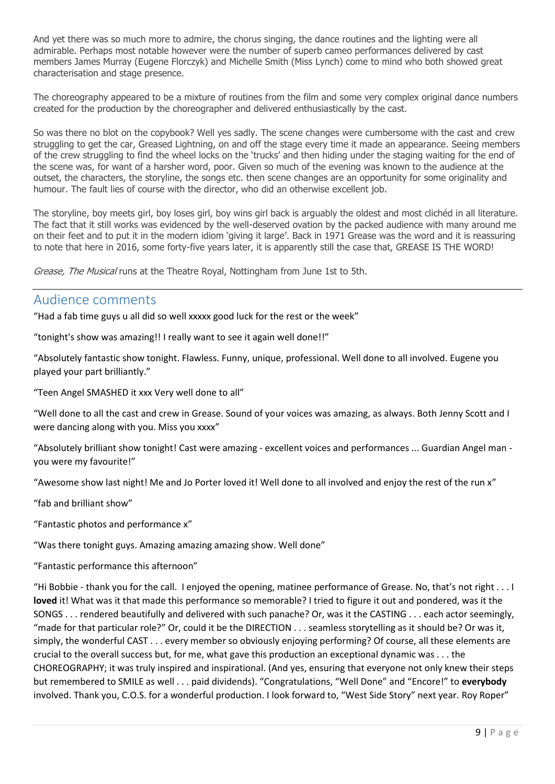And yet there was so much more to admire, the chorus singing, the dance routines and the lighting were all admirable. Perhaps most notable however were the number of superb cameo performances delivered by cast members James Murray (Eugene Florczyk) and Michelle Smith (Miss Lynch) come to mind who both showed great characterisation and stage presence.

The choreography appeared to be a mixture of routines from the film and some very complex original dance numbers created for the production by the choreographer and delivered enthusiastically by the cast.

So was there no blot on the copybook? Well yes sadly. The scene changes were cumbersome with the cast and crew struggling to get the car, Greased Lightning, on and off the stage every time it made an appearance. Seeing members of the crew struggling to find the wheel locks on the 'trucks' and then hiding under the staging waiting for the end of the scene was, for want of a harsher word, poor. Given so much of the evening was known to the audience at the outset, the characters, the storyline, the songs etc. then scene changes are an opportunity for some originality and humour. The fault lies of course with the director, who did an otherwise excellent job.

The storyline, boy meets girl, boy loses girl, boy wins girl back is arguably the oldest and most clichéd in all literature. The fact that it still works was evidenced by the well-deserved ovation by the packed audience with many around me on their feet and to put it in the modern idiom 'giving it large'. Back in 1971 Grease was the word and it is reassuring to note that here in 2016, some forty-five years later, it is apparently still the case that, GREASE IS THE WORD!

Grease, The Musical runs at the Theatre Royal, Nottingham from June 1st to 5th.

## Audience comments

"Had a fab time guys u all did so well xxxxx good luck for the rest or the week"

"tonight's show was amazing!! I really want to see it again well done!!"

"Absolutely fantastic show tonight. Flawless. Funny, unique, professional. Well done to all involved. Eugene you played your part brilliantly."

"Teen Angel SMASHED it xxx Very well done to all"

"Well done to all the cast and crew in Grease. Sound of your voices was amazing, as always. Both Jenny Scott and I were dancing along with you. Miss you xxxx"

"Absolutely brilliant show tonight! Cast were amazing - excellent voices and performances ... Guardian Angel man you were my favourite!"

"Awesome show last night! Me and Jo Porter loved it! Well done to all involved and enjoy the rest of the run x"

"fab and brilliant show"

"Fantastic photos and performance x"

"Was there tonight guys. Amazing amazing amazing show. Well done"

"Fantastic performance this afternoon"

"Hi Bobbie - thank you for the call. I enjoyed the opening, matinee performance of Grease. No, that's not right . . . I **loved** it! What was it that made this performance so memorable? I tried to figure it out and pondered, was it the SONGS . . . rendered beautifully and delivered with such panache? Or, was it the CASTING . . . each actor seemingly, "made for that particular role?" Or, could it be the DIRECTION . . . seamless storytelling as it should be? Or was it, simply, the wonderful CAST . . . every member so obviously enjoying performing? Of course, all these elements are crucial to the overall success but, for me, what gave this production an exceptional dynamic was . . . the CHOREOGRAPHY; it was truly inspired and inspirational. (And yes, ensuring that everyone not only knew their steps but remembered to SMILE as well . . . paid dividends). "Congratulations, "Well Done" and "Encore!" to **everybody** involved. Thank you, C.O.S. for a wonderful production. I look forward to, "West Side Story" next year. Roy Roper"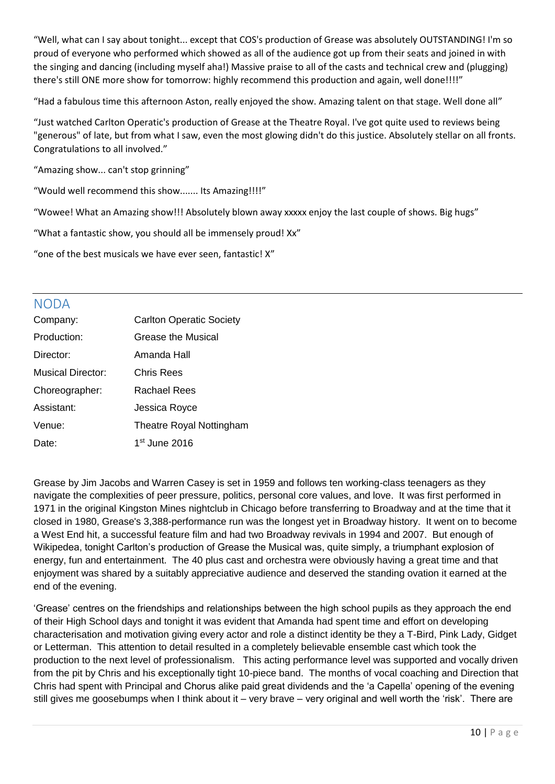"Well, what can I say about tonight... except that COS's production of Grease was absolutely OUTSTANDING! I'm so proud of everyone who performed which showed as all of the audience got up from their seats and joined in with the singing and dancing (including myself aha!) Massive praise to all of the casts and technical crew and (plugging) there's still ONE more show for tomorrow: highly recommend this production and again, well done!!!!"

"Had a fabulous time this afternoon Aston, really enjoyed the show. Amazing talent on that stage. Well done all"

"Just watched Carlton Operatic's production of Grease at the Theatre Royal. I've got quite used to reviews being "generous" of late, but from what I saw, even the most glowing didn't do this justice. Absolutely stellar on all fronts. Congratulations to all involved."

"Amazing show... can't stop grinning"

"Would well recommend this show....... Its Amazing!!!!"

"Wowee! What an Amazing show!!! Absolutely blown away xxxxx enjoy the last couple of shows. Big hugs"

"What a fantastic show, you should all be immensely proud! Xx"

"one of the best musicals we have ever seen, fantastic! X"

# NODA

| Company:          | <b>Carlton Operatic Society</b> |
|-------------------|---------------------------------|
| Production:       | Grease the Musical              |
| Director:         | Amanda Hall                     |
| Musical Director: | Chris Rees                      |
| Choreographer:    | Rachael Rees                    |
| Assistant:        | Jessica Royce                   |
| Venue:            | Theatre Royal Nottingham        |
| Date:             | 1 <sup>st</sup> June 2016       |

Grease by [Jim Jacobs](https://en.wikipedia.org/wiki/Jim_Jacobs) and [Warren Casey](https://en.wikipedia.org/wiki/Warren_Casey) is set in 1959 and follows ten working-class teenagers as they navigate the complexities of peer pressure, politics, personal core values, and love. It was first performed in 1971 in the original [Kingston Mines](https://en.wikipedia.org/wiki/Kingston_Mines_(blues_club)) nightclub in Chicago before transferring to Broadway and at the time that it closed in 1980, Grease's 3,388-performance run was the [longest yet in Broadway history.](https://en.wikipedia.org/wiki/List_of_Broadway_shows_that_have_held_title_of_longest-running_show) It went on to become a [West End](https://en.wikipedia.org/wiki/West_End_theatre) hit, a [successful feature film](https://en.wikipedia.org/wiki/Grease_(film)) and had two [Broadway](https://en.wikipedia.org/wiki/Broadway_theatre) revivals in 1994 and 2007. But enough of Wikipedea, tonight Carlton's production of Grease the Musical was, quite simply, a triumphant explosion of energy, fun and entertainment. The 40 plus cast and orchestra were obviously having a great time and that enjoyment was shared by a suitably appreciative audience and deserved the standing ovation it earned at the end of the evening.

'Grease' centres on the friendships and relationships between the high school pupils as they approach the end of their High School days and tonight it was evident that Amanda had spent time and effort on developing characterisation and motivation giving every actor and role a distinct identity be they a T-Bird, Pink Lady, Gidget or Letterman. This attention to detail resulted in a completely believable ensemble cast which took the production to the next level of professionalism. This acting performance level was supported and vocally driven from the pit by Chris and his exceptionally tight 10-piece band. The months of vocal coaching and Direction that Chris had spent with Principal and Chorus alike paid great dividends and the 'a Capella' opening of the evening still gives me goosebumps when I think about it – very brave – very original and well worth the 'risk'. There are